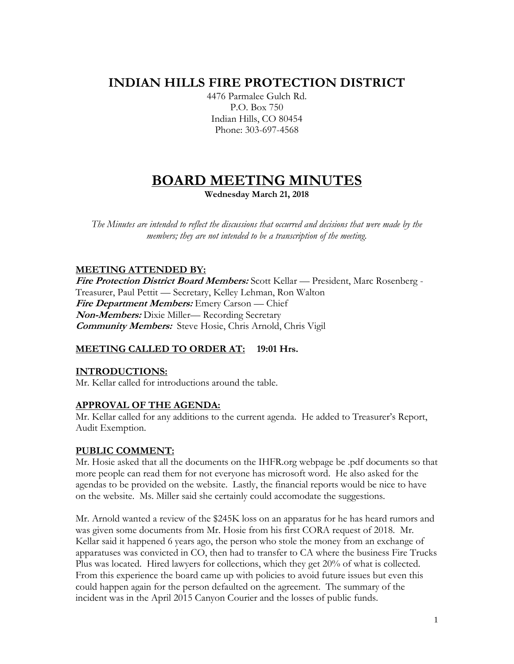# **INDIAN HILLS FIRE PROTECTION DISTRICT**

4476 Parmalee Gulch Rd. P.O. Box 750 Indian Hills, CO 80454 Phone: 303-697-4568

# **BOARD MEETING MINUTES**

**Wednesday March 21, 2018**

*The Minutes are intended to reflect the discussions that occurred and decisions that were made by the members; they are not intended to be a transcription of the meeting.*

# **MEETING ATTENDED BY:**

**Fire Protection District Board Members:** Scott Kellar — President, Marc Rosenberg - Treasurer, Paul Pettit — Secretary, Kelley Lehman, Ron Walton **Fire Department Members:** Emery Carson — Chief **Non-Members:** Dixie Miller— Recording Secretary **Community Members:** Steve Hosie, Chris Arnold, Chris Vigil

# **MEETING CALLED TO ORDER AT: 19:01 Hrs.**

# **INTRODUCTIONS:**

Mr. Kellar called for introductions around the table.

# **APPROVAL OF THE AGENDA:**

Mr. Kellar called for any additions to the current agenda. He added to Treasurer's Report, Audit Exemption.

# **PUBLIC COMMENT:**

Mr. Hosie asked that all the documents on the IHFR.org webpage be .pdf documents so that more people can read them for not everyone has microsoft word. He also asked for the agendas to be provided on the website. Lastly, the financial reports would be nice to have on the website. Ms. Miller said she certainly could accomodate the suggestions.

Mr. Arnold wanted a review of the \$245K loss on an apparatus for he has heard rumors and was given some documents from Mr. Hosie from his first CORA request of 2018. Mr. Kellar said it happened 6 years ago, the person who stole the money from an exchange of apparatuses was convicted in CO, then had to transfer to CA where the business Fire Trucks Plus was located. Hired lawyers for collections, which they get 20% of what is collected. From this experience the board came up with policies to avoid future issues but even this could happen again for the person defaulted on the agreement. The summary of the incident was in the April 2015 Canyon Courier and the losses of public funds.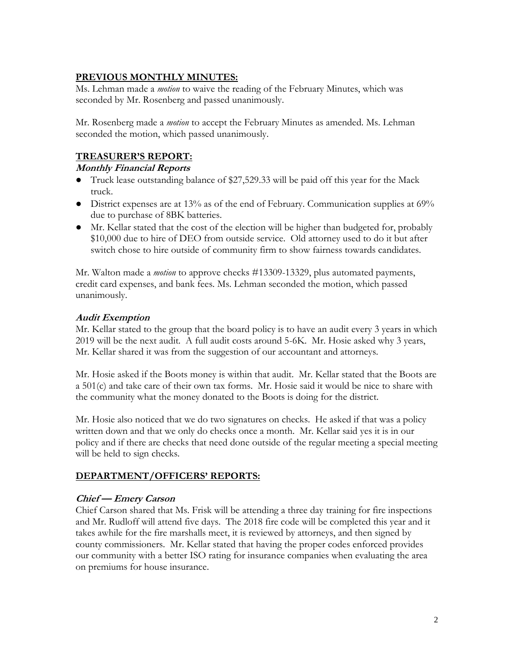## **PREVIOUS MONTHLY MINUTES:**

Ms. Lehman made a *motion* to waive the reading of the February Minutes, which was seconded by Mr. Rosenberg and passed unanimously.

Mr. Rosenberg made a *motion* to accept the February Minutes as amended. Ms. Lehman seconded the motion, which passed unanimously.

## **TREASURER'S REPORT:**

#### **Monthly Financial Reports**

- Truck lease outstanding balance of \$27,529.33 will be paid off this year for the Mack truck.
- District expenses are at 13% as of the end of February. Communication supplies at  $69\%$ due to purchase of 8BK batteries.
- Mr. Kellar stated that the cost of the election will be higher than budgeted for, probably \$10,000 due to hire of DEO from outside service. Old attorney used to do it but after switch chose to hire outside of community firm to show fairness towards candidates.

Mr. Walton made a *motion* to approve checks #13309-13329, plus automated payments, credit card expenses, and bank fees. Ms. Lehman seconded the motion, which passed unanimously.

#### **Audit Exemption**

Mr. Kellar stated to the group that the board policy is to have an audit every 3 years in which 2019 will be the next audit. A full audit costs around 5-6K. Mr. Hosie asked why 3 years, Mr. Kellar shared it was from the suggestion of our accountant and attorneys.

Mr. Hosie asked if the Boots money is within that audit. Mr. Kellar stated that the Boots are a 501(c) and take care of their own tax forms. Mr. Hosie said it would be nice to share with the community what the money donated to the Boots is doing for the district.

Mr. Hosie also noticed that we do two signatures on checks. He asked if that was a policy written down and that we only do checks once a month. Mr. Kellar said yes it is in our policy and if there are checks that need done outside of the regular meeting a special meeting will be held to sign checks.

#### **DEPARTMENT/OFFICERS' REPORTS:**

#### **Chief — Emery Carson**

Chief Carson shared that Ms. Frisk will be attending a three day training for fire inspections and Mr. Rudloff will attend five days. The 2018 fire code will be completed this year and it takes awhile for the fire marshalls meet, it is reviewed by attorneys, and then signed by county commissioners. Mr. Kellar stated that having the proper codes enforced provides our community with a better ISO rating for insurance companies when evaluating the area on premiums for house insurance.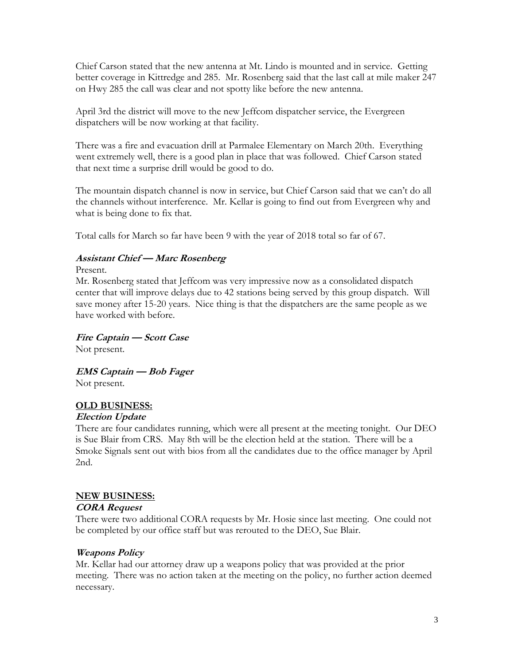Chief Carson stated that the new antenna at Mt. Lindo is mounted and in service. Getting better coverage in Kittredge and 285. Mr. Rosenberg said that the last call at mile maker 247 on Hwy 285 the call was clear and not spotty like before the new antenna.

April 3rd the district will move to the new Jeffcom dispatcher service, the Evergreen dispatchers will be now working at that facility.

There was a fire and evacuation drill at Parmalee Elementary on March 20th. Everything went extremely well, there is a good plan in place that was followed. Chief Carson stated that next time a surprise drill would be good to do.

The mountain dispatch channel is now in service, but Chief Carson said that we can't do all the channels without interference. Mr. Kellar is going to find out from Evergreen why and what is being done to fix that.

Total calls for March so far have been 9 with the year of 2018 total so far of 67.

#### **Assistant Chief — Marc Rosenberg**

Present.

Mr. Rosenberg stated that Jeffcom was very impressive now as a consolidated dispatch center that will improve delays due to 42 stations being served by this group dispatch. Will save money after 15-20 years. Nice thing is that the dispatchers are the same people as we have worked with before.

**Fire Captain — Scott Case** 

Not present.

**EMS Captain — Bob Fager**

Not present.

# **OLD BUSINESS:**

#### **Election Update**

There are four candidates running, which were all present at the meeting tonight. Our DEO is Sue Blair from CRS. May 8th will be the election held at the station. There will be a Smoke Signals sent out with bios from all the candidates due to the office manager by April 2nd.

#### **NEW BUSINESS:**

#### **CORA Request**

There were two additional CORA requests by Mr. Hosie since last meeting. One could not be completed by our office staff but was rerouted to the DEO, Sue Blair.

#### **Weapons Policy**

Mr. Kellar had our attorney draw up a weapons policy that was provided at the prior meeting. There was no action taken at the meeting on the policy, no further action deemed necessary.